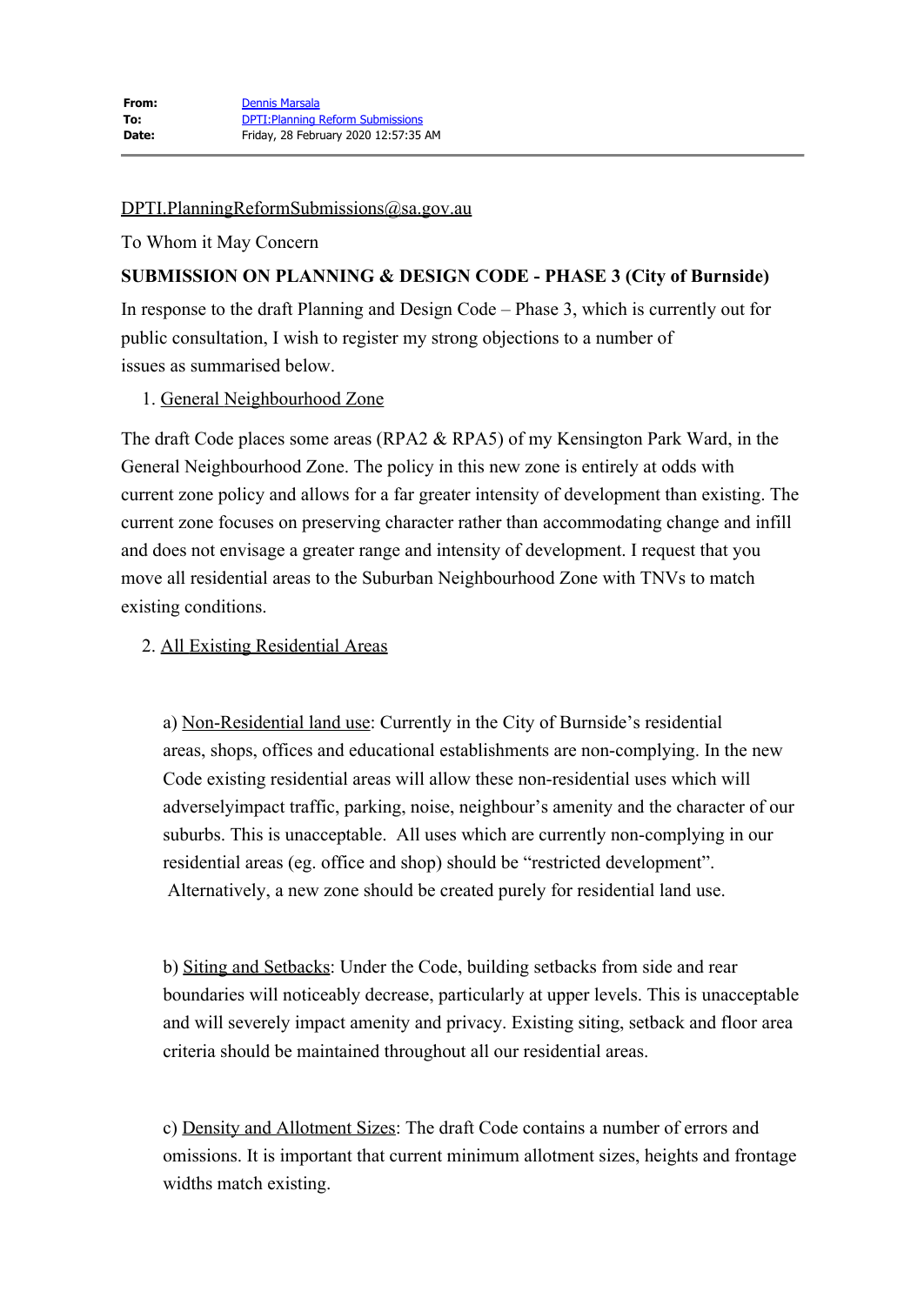## [DPTI.PlanningReformSubmissions@sa.gov.au](mailto:DPTI.PlanningReformSubmissions@sa.gov.au)

## To Whom it May Concern

# **SUBMISSION ON PLANNING & DESIGN CODE - PHASE 3 (City of Burnside)**

In response to the draft Planning and Design Code – Phase 3, which is currently out for public consultation, I wish to register my strong objections to a number of issues as summarised below.

## 1. General Neighbourhood Zone

The draft Code places some areas (RPA2 & RPA5) of my Kensington Park Ward, in the General Neighbourhood Zone. The policy in this new zone is entirely at odds with current zone policy and allows for a far greater intensity of development than existing. The current zone focuses on preserving character rather than accommodating change and infill and does not envisage a greater range and intensity of development. I request that you move all residential areas to the Suburban Neighbourhood Zone with TNVs to match existing conditions.

## 2. All Existing Residential Areas

a) Non-Residential land use: Currently in the City of Burnside's residential areas, shops, offices and educational establishments are non-complying. In the new Code existing residential areas will allow these non-residential uses which will adverselyimpact traffic, parking, noise, neighbour's amenity and the character of our suburbs. This is unacceptable. All uses which are currently non-complying in our residential areas (eg. office and shop) should be "restricted development". Alternatively, a new zone should be created purely for residential land use.

b) Siting and Setbacks: Under the Code, building setbacks from side and rear boundaries will noticeably decrease, particularly at upper levels. This is unacceptable and will severely impact amenity and privacy. Existing siting, setback and floor area criteria should be maintained throughout all our residential areas.

c) Density and Allotment Sizes: The draft Code contains a number of errors and omissions. It is important that current minimum allotment sizes, heights and frontage widths match existing.